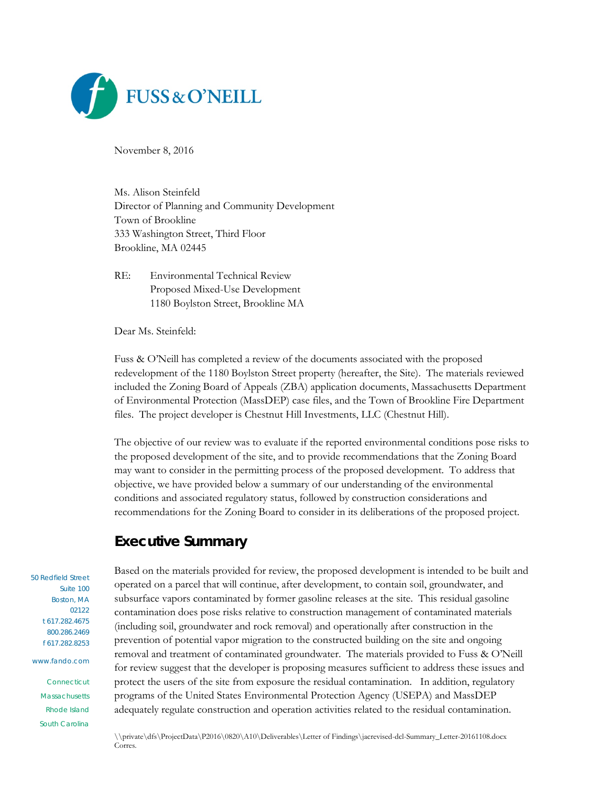

November 8, 2016

Ms. Alison Steinfeld Director of Planning and Community Development Town of Brookline 333 Washington Street, Third Floor Brookline, MA 02445

RE: Environmental Technical Review Proposed Mixed-Use Development 1180 Boylston Street, Brookline MA

Dear Ms. Steinfeld:

Fuss & O'Neill has completed a review of the documents associated with the proposed redevelopment of the 1180 Boylston Street property (hereafter, the Site). The materials reviewed included the Zoning Board of Appeals (ZBA) application documents, Massachusetts Department of Environmental Protection (MassDEP) case files, and the Town of Brookline Fire Department files. The project developer is Chestnut Hill Investments, LLC (Chestnut Hill).

The objective of our review was to evaluate if the reported environmental conditions pose risks to the proposed development of the site, and to provide recommendations that the Zoning Board may want to consider in the permitting process of the proposed development. To address that objective, we have provided below a summary of our understanding of the environmental conditions and associated regulatory status, followed by construction considerations and recommendations for the Zoning Board to consider in its deliberations of the proposed project.

# **Executive Summary**

50 Redfield Street Suite 100 Boston, MA 02122 t 617.282.4675 800.286.2469 f 617.282.8253 www.fando.com Connecticut

**Massachusetts** Rhode Island South Carolina Based on the materials provided for review, the proposed development is intended to be built and operated on a parcel that will continue, after development, to contain soil, groundwater, and subsurface vapors contaminated by former gasoline releases at the site. This residual gasoline contamination does pose risks relative to construction management of contaminated materials (including soil, groundwater and rock removal) and operationally after construction in the prevention of potential vapor migration to the constructed building on the site and ongoing removal and treatment of contaminated groundwater. The materials provided to Fuss & O'Neill for review suggest that the developer is proposing measures sufficient to address these issues and protect the users of the site from exposure the residual contamination. In addition, regulatory programs of the United States Environmental Protection Agency (USEPA) and MassDEP adequately regulate construction and operation activities related to the residual contamination.

\\private\dfs\ProjectData\P2016\0820\A10\Deliverables\Letter of Findings\jacrevised-dcl-Summary\_Letter-20161108.docx Corres.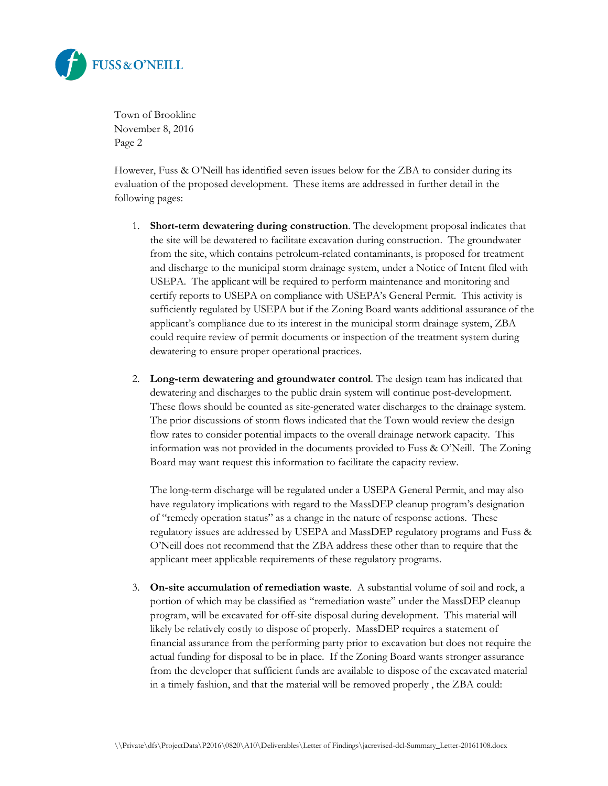

However, Fuss & O'Neill has identified seven issues below for the ZBA to consider during its evaluation of the proposed development. These items are addressed in further detail in the following pages:

- 1. **Short-term dewatering during construction**. The development proposal indicates that the site will be dewatered to facilitate excavation during construction. The groundwater from the site, which contains petroleum-related contaminants, is proposed for treatment and discharge to the municipal storm drainage system, under a Notice of Intent filed with USEPA. The applicant will be required to perform maintenance and monitoring and certify reports to USEPA on compliance with USEPA's General Permit. This activity is sufficiently regulated by USEPA but if the Zoning Board wants additional assurance of the applicant's compliance due to its interest in the municipal storm drainage system, ZBA could require review of permit documents or inspection of the treatment system during dewatering to ensure proper operational practices.
- 2. **Long-term dewatering and groundwater control**. The design team has indicated that dewatering and discharges to the public drain system will continue post-development. These flows should be counted as site-generated water discharges to the drainage system. The prior discussions of storm flows indicated that the Town would review the design flow rates to consider potential impacts to the overall drainage network capacity. This information was not provided in the documents provided to Fuss & O'Neill. The Zoning Board may want request this information to facilitate the capacity review.

The long-term discharge will be regulated under a USEPA General Permit, and may also have regulatory implications with regard to the MassDEP cleanup program's designation of "remedy operation status" as a change in the nature of response actions. These regulatory issues are addressed by USEPA and MassDEP regulatory programs and Fuss & O'Neill does not recommend that the ZBA address these other than to require that the applicant meet applicable requirements of these regulatory programs.

3. **On-site accumulation of remediation waste**. A substantial volume of soil and rock, a portion of which may be classified as "remediation waste" under the MassDEP cleanup program, will be excavated for off-site disposal during development. This material will likely be relatively costly to dispose of properly. MassDEP requires a statement of financial assurance from the performing party prior to excavation but does not require the actual funding for disposal to be in place. If the Zoning Board wants stronger assurance from the developer that sufficient funds are available to dispose of the excavated material in a timely fashion, and that the material will be removed properly , the ZBA could: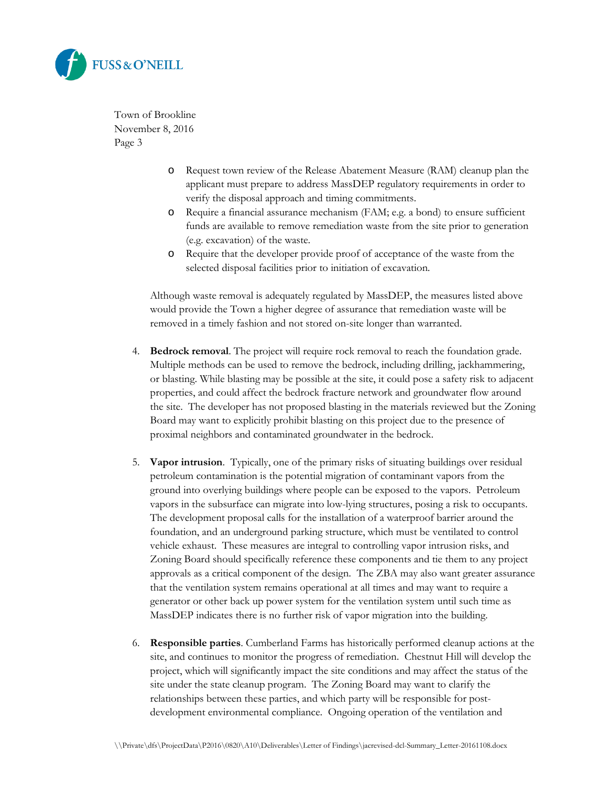

- o Request town review of the Release Abatement Measure (RAM) cleanup plan the applicant must prepare to address MassDEP regulatory requirements in order to verify the disposal approach and timing commitments.
- o Require a financial assurance mechanism (FAM; e.g. a bond) to ensure sufficient funds are available to remove remediation waste from the site prior to generation (e.g. excavation) of the waste.
- o Require that the developer provide proof of acceptance of the waste from the selected disposal facilities prior to initiation of excavation.

Although waste removal is adequately regulated by MassDEP, the measures listed above would provide the Town a higher degree of assurance that remediation waste will be removed in a timely fashion and not stored on-site longer than warranted.

- 4. **Bedrock removal**. The project will require rock removal to reach the foundation grade. Multiple methods can be used to remove the bedrock, including drilling, jackhammering, or blasting. While blasting may be possible at the site, it could pose a safety risk to adjacent properties, and could affect the bedrock fracture network and groundwater flow around the site. The developer has not proposed blasting in the materials reviewed but the Zoning Board may want to explicitly prohibit blasting on this project due to the presence of proximal neighbors and contaminated groundwater in the bedrock.
- 5. **Vapor intrusion**. Typically, one of the primary risks of situating buildings over residual petroleum contamination is the potential migration of contaminant vapors from the ground into overlying buildings where people can be exposed to the vapors. Petroleum vapors in the subsurface can migrate into low-lying structures, posing a risk to occupants. The development proposal calls for the installation of a waterproof barrier around the foundation, and an underground parking structure, which must be ventilated to control vehicle exhaust. These measures are integral to controlling vapor intrusion risks, and Zoning Board should specifically reference these components and tie them to any project approvals as a critical component of the design. The ZBA may also want greater assurance that the ventilation system remains operational at all times and may want to require a generator or other back up power system for the ventilation system until such time as MassDEP indicates there is no further risk of vapor migration into the building.
- 6. **Responsible parties**. Cumberland Farms has historically performed cleanup actions at the site, and continues to monitor the progress of remediation. Chestnut Hill will develop the project, which will significantly impact the site conditions and may affect the status of the site under the state cleanup program. The Zoning Board may want to clarify the relationships between these parties, and which party will be responsible for postdevelopment environmental compliance. Ongoing operation of the ventilation and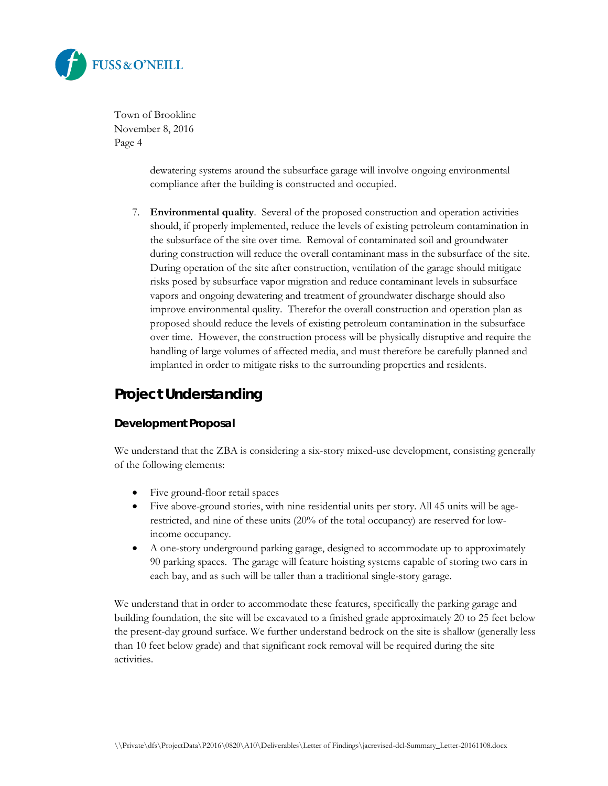

> dewatering systems around the subsurface garage will involve ongoing environmental compliance after the building is constructed and occupied.

7. **Environmental quality**. Several of the proposed construction and operation activities should, if properly implemented, reduce the levels of existing petroleum contamination in the subsurface of the site over time. Removal of contaminated soil and groundwater during construction will reduce the overall contaminant mass in the subsurface of the site. During operation of the site after construction, ventilation of the garage should mitigate risks posed by subsurface vapor migration and reduce contaminant levels in subsurface vapors and ongoing dewatering and treatment of groundwater discharge should also improve environmental quality. Therefor the overall construction and operation plan as proposed should reduce the levels of existing petroleum contamination in the subsurface over time. However, the construction process will be physically disruptive and require the handling of large volumes of affected media, and must therefore be carefully planned and implanted in order to mitigate risks to the surrounding properties and residents.

# **Project Understanding**

## **Development Proposal**

We understand that the ZBA is considering a six-story mixed-use development, consisting generally of the following elements:

- Five ground-floor retail spaces
- Five above-ground stories, with nine residential units per story. All 45 units will be agerestricted, and nine of these units (20% of the total occupancy) are reserved for lowincome occupancy.
- A one-story underground parking garage, designed to accommodate up to approximately 90 parking spaces. The garage will feature hoisting systems capable of storing two cars in each bay, and as such will be taller than a traditional single-story garage.

We understand that in order to accommodate these features, specifically the parking garage and building foundation, the site will be excavated to a finished grade approximately 20 to 25 feet below the present-day ground surface. We further understand bedrock on the site is shallow (generally less than 10 feet below grade) and that significant rock removal will be required during the site activities.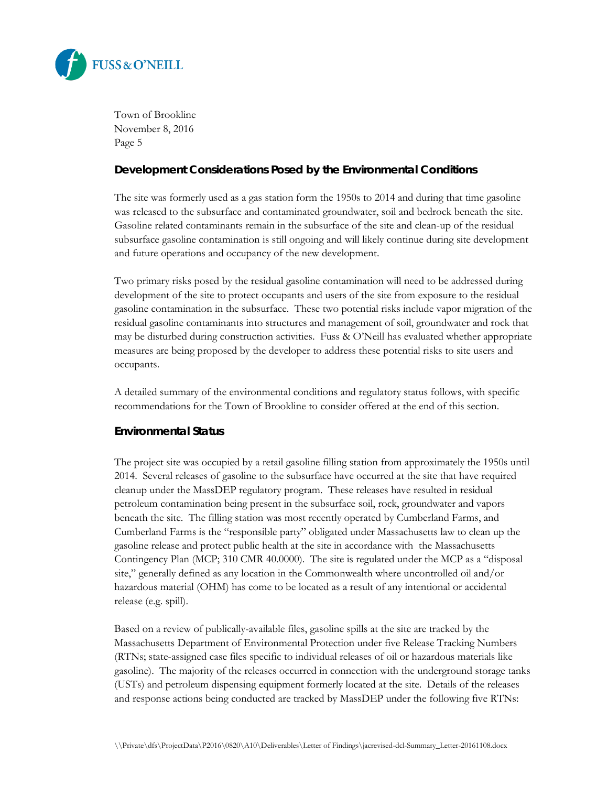

### **Development Considerations Posed by the Environmental Conditions**

The site was formerly used as a gas station form the 1950s to 2014 and during that time gasoline was released to the subsurface and contaminated groundwater, soil and bedrock beneath the site. Gasoline related contaminants remain in the subsurface of the site and clean-up of the residual subsurface gasoline contamination is still ongoing and will likely continue during site development and future operations and occupancy of the new development.

Two primary risks posed by the residual gasoline contamination will need to be addressed during development of the site to protect occupants and users of the site from exposure to the residual gasoline contamination in the subsurface. These two potential risks include vapor migration of the residual gasoline contaminants into structures and management of soil, groundwater and rock that may be disturbed during construction activities. Fuss & O'Neill has evaluated whether appropriate measures are being proposed by the developer to address these potential risks to site users and occupants.

A detailed summary of the environmental conditions and regulatory status follows, with specific recommendations for the Town of Brookline to consider offered at the end of this section.

## **Environmental Status**

The project site was occupied by a retail gasoline filling station from approximately the 1950s until 2014. Several releases of gasoline to the subsurface have occurred at the site that have required cleanup under the MassDEP regulatory program. These releases have resulted in residual petroleum contamination being present in the subsurface soil, rock, groundwater and vapors beneath the site. The filling station was most recently operated by Cumberland Farms, and Cumberland Farms is the "responsible party" obligated under Massachusetts law to clean up the gasoline release and protect public health at the site in accordance with the Massachusetts Contingency Plan (MCP; 310 CMR 40.0000). The site is regulated under the MCP as a "disposal site," generally defined as any location in the Commonwealth where uncontrolled oil and/or hazardous material (OHM) has come to be located as a result of any intentional or accidental release (e.g. spill).

Based on a review of publically-available files, gasoline spills at the site are tracked by the Massachusetts Department of Environmental Protection under five Release Tracking Numbers (RTNs; state-assigned case files specific to individual releases of oil or hazardous materials like gasoline). The majority of the releases occurred in connection with the underground storage tanks (USTs) and petroleum dispensing equipment formerly located at the site. Details of the releases and response actions being conducted are tracked by MassDEP under the following five RTNs: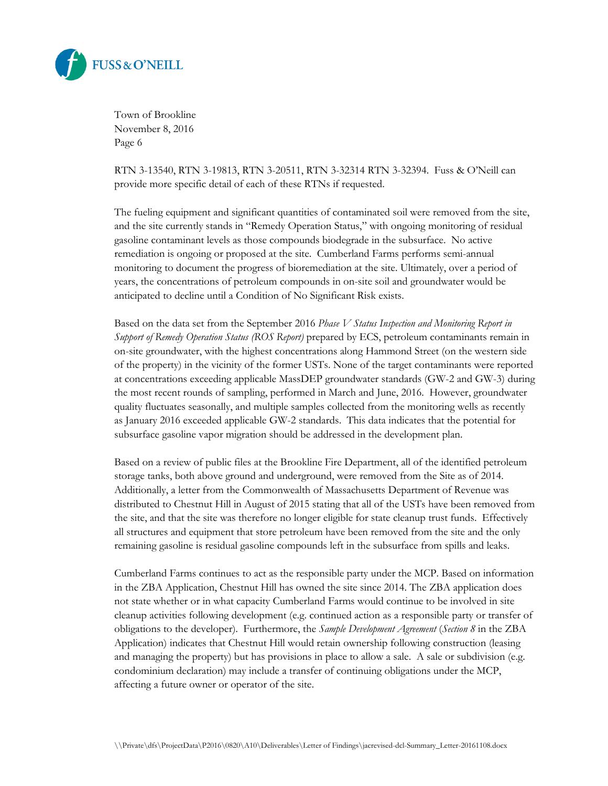

RTN 3-13540, RTN 3-19813, RTN 3-20511, RTN 3-32314 RTN 3-32394. Fuss & O'Neill can provide more specific detail of each of these RTNs if requested.

The fueling equipment and significant quantities of contaminated soil were removed from the site, and the site currently stands in "Remedy Operation Status," with ongoing monitoring of residual gasoline contaminant levels as those compounds biodegrade in the subsurface. No active remediation is ongoing or proposed at the site. Cumberland Farms performs semi-annual monitoring to document the progress of bioremediation at the site. Ultimately, over a period of years, the concentrations of petroleum compounds in on-site soil and groundwater would be anticipated to decline until a Condition of No Significant Risk exists.

Based on the data set from the September 2016 *Phase V Status Inspection and Monitoring Report in Support of Remedy Operation Status (ROS Report)* prepared by ECS, petroleum contaminants remain in on-site groundwater, with the highest concentrations along Hammond Street (on the western side of the property) in the vicinity of the former USTs. None of the target contaminants were reported at concentrations exceeding applicable MassDEP groundwater standards (GW-2 and GW-3) during the most recent rounds of sampling, performed in March and June, 2016. However, groundwater quality fluctuates seasonally, and multiple samples collected from the monitoring wells as recently as January 2016 exceeded applicable GW-2 standards. This data indicates that the potential for subsurface gasoline vapor migration should be addressed in the development plan.

Based on a review of public files at the Brookline Fire Department, all of the identified petroleum storage tanks, both above ground and underground, were removed from the Site as of 2014. Additionally, a letter from the Commonwealth of Massachusetts Department of Revenue was distributed to Chestnut Hill in August of 2015 stating that all of the USTs have been removed from the site, and that the site was therefore no longer eligible for state cleanup trust funds. Effectively all structures and equipment that store petroleum have been removed from the site and the only remaining gasoline is residual gasoline compounds left in the subsurface from spills and leaks.

Cumberland Farms continues to act as the responsible party under the MCP. Based on information in the ZBA Application, Chestnut Hill has owned the site since 2014. The ZBA application does not state whether or in what capacity Cumberland Farms would continue to be involved in site cleanup activities following development (e.g. continued action as a responsible party or transfer of obligations to the developer). Furthermore, the *Sample Development Agreement* (*Section 8* in the ZBA Application) indicates that Chestnut Hill would retain ownership following construction (leasing and managing the property) but has provisions in place to allow a sale. A sale or subdivision (e.g. condominium declaration) may include a transfer of continuing obligations under the MCP, affecting a future owner or operator of the site.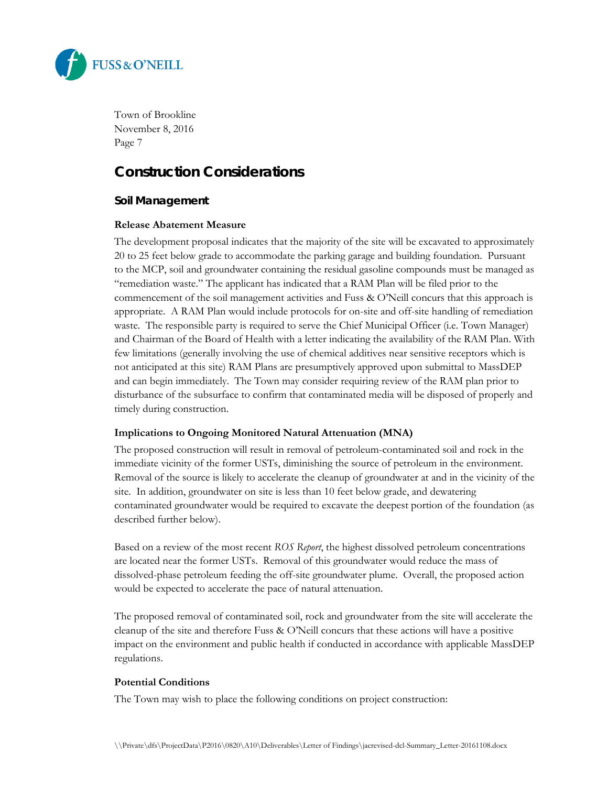

# **Construction Considerations**

# **Soil Management**

#### **Release Abatement Measure**

The development proposal indicates that the majority of the site will be excavated to approximately 20 to 25 feet below grade to accommodate the parking garage and building foundation. Pursuant to the MCP, soil and groundwater containing the residual gasoline compounds must be managed as "remediation waste." The applicant has indicated that a RAM Plan will be filed prior to the commencement of the soil management activities and Fuss & O'Neill concurs that this approach is appropriate. A RAM Plan would include protocols for on-site and off-site handling of remediation waste. The responsible party is required to serve the Chief Municipal Officer (i.e. Town Manager) and Chairman of the Board of Health with a letter indicating the availability of the RAM Plan. With few limitations (generally involving the use of chemical additives near sensitive receptors which is not anticipated at this site) RAM Plans are presumptively approved upon submittal to MassDEP and can begin immediately. The Town may consider requiring review of the RAM plan prior to disturbance of the subsurface to confirm that contaminated media will be disposed of properly and timely during construction.

#### **Implications to Ongoing Monitored Natural Attenuation (MNA)**

The proposed construction will result in removal of petroleum-contaminated soil and rock in the immediate vicinity of the former USTs, diminishing the source of petroleum in the environment. Removal of the source is likely to accelerate the cleanup of groundwater at and in the vicinity of the site. In addition, groundwater on site is less than 10 feet below grade, and dewatering contaminated groundwater would be required to excavate the deepest portion of the foundation (as described further below).

Based on a review of the most recent *ROS Report*, the highest dissolved petroleum concentrations are located near the former USTs. Removal of this groundwater would reduce the mass of dissolved-phase petroleum feeding the off-site groundwater plume. Overall, the proposed action would be expected to accelerate the pace of natural attenuation.

The proposed removal of contaminated soil, rock and groundwater from the site will accelerate the cleanup of the site and therefore Fuss & O'Neill concurs that these actions will have a positive impact on the environment and public health if conducted in accordance with applicable MassDEP regulations.

#### **Potential Conditions**

The Town may wish to place the following conditions on project construction: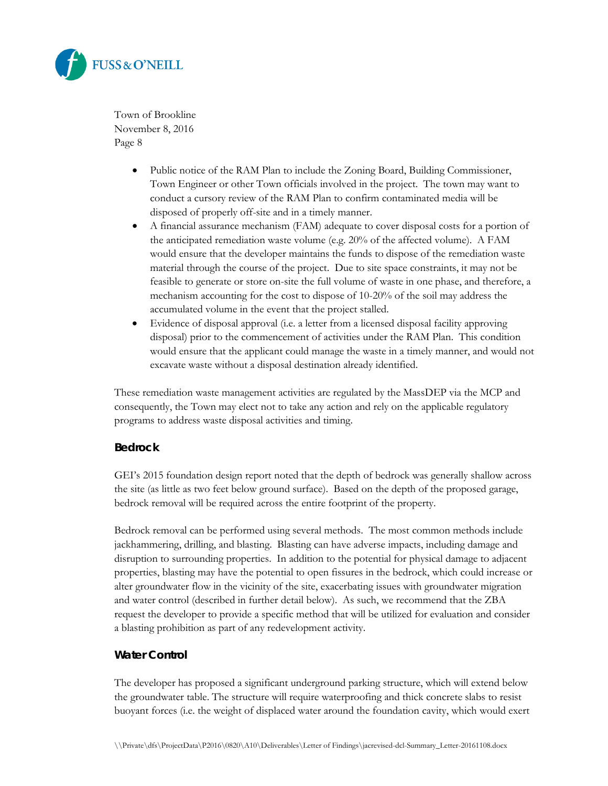

- Public notice of the RAM Plan to include the Zoning Board, Building Commissioner, Town Engineer or other Town officials involved in the project. The town may want to conduct a cursory review of the RAM Plan to confirm contaminated media will be disposed of properly off-site and in a timely manner.
- A financial assurance mechanism (FAM) adequate to cover disposal costs for a portion of the anticipated remediation waste volume (e.g. 20% of the affected volume). A FAM would ensure that the developer maintains the funds to dispose of the remediation waste material through the course of the project. Due to site space constraints, it may not be feasible to generate or store on-site the full volume of waste in one phase, and therefore, a mechanism accounting for the cost to dispose of 10-20% of the soil may address the accumulated volume in the event that the project stalled.
- Evidence of disposal approval (i.e. a letter from a licensed disposal facility approving disposal) prior to the commencement of activities under the RAM Plan. This condition would ensure that the applicant could manage the waste in a timely manner, and would not excavate waste without a disposal destination already identified.

These remediation waste management activities are regulated by the MassDEP via the MCP and consequently, the Town may elect not to take any action and rely on the applicable regulatory programs to address waste disposal activities and timing.

## **Bedrock**

GEI's 2015 foundation design report noted that the depth of bedrock was generally shallow across the site (as little as two feet below ground surface). Based on the depth of the proposed garage, bedrock removal will be required across the entire footprint of the property.

Bedrock removal can be performed using several methods. The most common methods include jackhammering, drilling, and blasting. Blasting can have adverse impacts, including damage and disruption to surrounding properties. In addition to the potential for physical damage to adjacent properties, blasting may have the potential to open fissures in the bedrock, which could increase or alter groundwater flow in the vicinity of the site, exacerbating issues with groundwater migration and water control (described in further detail below). As such, we recommend that the ZBA request the developer to provide a specific method that will be utilized for evaluation and consider a blasting prohibition as part of any redevelopment activity.

## **Water Control**

The developer has proposed a significant underground parking structure, which will extend below the groundwater table. The structure will require waterproofing and thick concrete slabs to resist buoyant forces (i.e. the weight of displaced water around the foundation cavity, which would exert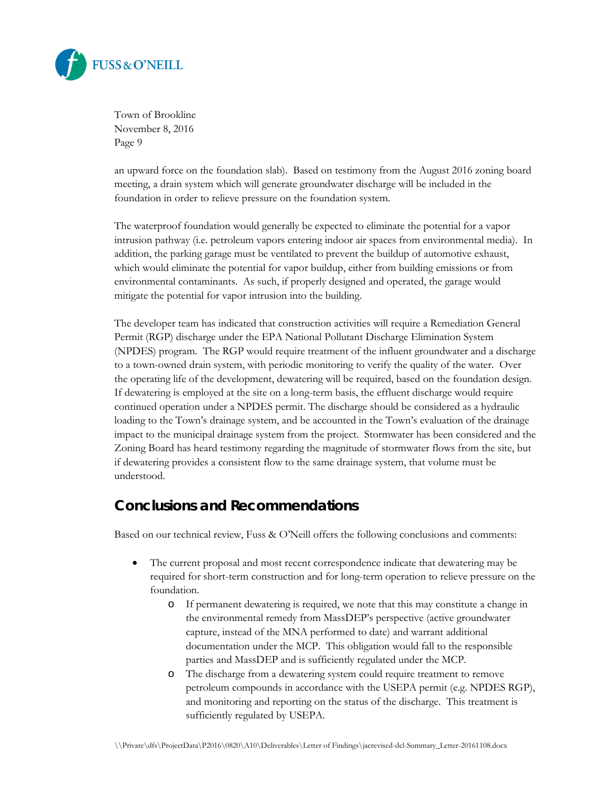

an upward force on the foundation slab). Based on testimony from the August 2016 zoning board meeting, a drain system which will generate groundwater discharge will be included in the foundation in order to relieve pressure on the foundation system.

The waterproof foundation would generally be expected to eliminate the potential for a vapor intrusion pathway (i.e. petroleum vapors entering indoor air spaces from environmental media). In addition, the parking garage must be ventilated to prevent the buildup of automotive exhaust, which would eliminate the potential for vapor buildup, either from building emissions or from environmental contaminants. As such, if properly designed and operated, the garage would mitigate the potential for vapor intrusion into the building.

The developer team has indicated that construction activities will require a Remediation General Permit (RGP) discharge under the EPA National Pollutant Discharge Elimination System (NPDES) program. The RGP would require treatment of the influent groundwater and a discharge to a town-owned drain system, with periodic monitoring to verify the quality of the water. Over the operating life of the development, dewatering will be required, based on the foundation design. If dewatering is employed at the site on a long-term basis, the effluent discharge would require continued operation under a NPDES permit. The discharge should be considered as a hydraulic loading to the Town's drainage system, and be accounted in the Town's evaluation of the drainage impact to the municipal drainage system from the project. Stormwater has been considered and the Zoning Board has heard testimony regarding the magnitude of stormwater flows from the site, but if dewatering provides a consistent flow to the same drainage system, that volume must be understood.

# **Conclusions and Recommendations**

Based on our technical review, Fuss & O'Neill offers the following conclusions and comments:

- The current proposal and most recent correspondence indicate that dewatering may be required for short-term construction and for long-term operation to relieve pressure on the foundation.
	- o If permanent dewatering is required, we note that this may constitute a change in the environmental remedy from MassDEP's perspective (active groundwater capture, instead of the MNA performed to date) and warrant additional documentation under the MCP. This obligation would fall to the responsible parties and MassDEP and is sufficiently regulated under the MCP.
	- o The discharge from a dewatering system could require treatment to remove petroleum compounds in accordance with the USEPA permit (e.g. NPDES RGP), and monitoring and reporting on the status of the discharge. This treatment is sufficiently regulated by USEPA.